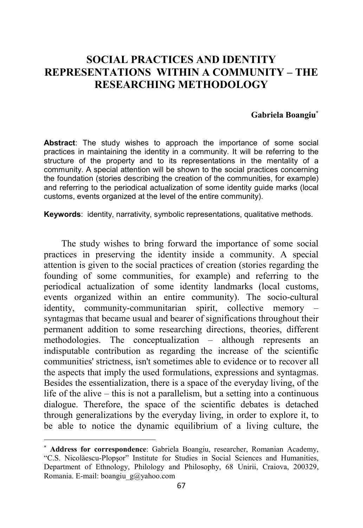## **SOCIAL PRACTICES AND IDENTITY REPRESENTATIONS WITHIN A COMMUNITY – THE RESEARCHING METHODOLOGY**

## **Gabriela Boangiu**<sup>∗</sup>

**Abstract**: The study wishes to approach the importance of some social practices in maintaining the identity in a community. It will be referring to the structure of the property and to its representations in the mentality of a community. A special attention will be shown to the social practices concerning the foundation (stories describing the creation of the communities, for example) and referring to the periodical actualization of some identity guide marks (local customs, events organized at the level of the entire community).

**Keywords**: identity, narrativity, symbolic representations, qualitative methods.

The study wishes to bring forward the importance of some social practices in preserving the identity inside a community. A special attention is given to the social practices of creation (stories regarding the founding of some communities, for example) and referring to the periodical actualization of some identity landmarks (local customs, events organized within an entire community). The socio-cultural identity, community-communitarian spirit, collective memory – syntagmas that became usual and bearer of significations throughout their permanent addition to some researching directions, theories, different methodologies. The conceptualization – although represents an indisputable contribution as regarding the increase of the scientific communities' strictness, isn't sometimes able to evidence or to recover all the aspects that imply the used formulations, expressions and syntagmas. Besides the essentialization, there is a space of the everyday living, of the life of the alive – this is not a parallelism, but a setting into a continuous dialogue. Therefore, the space of the scientific debates is detached through generalizations by the everyday living, in order to explore it, to be able to notice the dynamic equilibrium of a living culture, the

 $\overline{a}$ 

<sup>∗</sup> **Address for correspondence**: Gabriela Boangiu, researcher, Romanian Academy, "C.S. Nicolăescu-Plopşor" Institute for Studies in Social Sciences and Humanities, Department of Ethnology, Philology and Philosophy, 68 Unirii, Craiova, 200329, Romania. E-mail: boangiu\_g@yahoo.com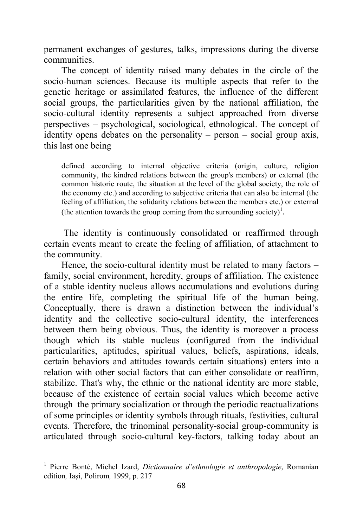permanent exchanges of gestures, talks, impressions during the diverse communities.

The concept of identity raised many debates in the circle of the socio-human sciences. Because its multiple aspects that refer to the genetic heritage or assimilated features, the influence of the different social groups, the particularities given by the national affiliation, the socio-cultural identity represents a subject approached from diverse perspectives – psychological, sociological, ethnological. The concept of identity opens debates on the personality – person – social group axis, this last one being

defined according to internal objective criteria (origin, culture, religion community, the kindred relations between the group's members) or external (the common historic route, the situation at the level of the global society, the role of the economy etc.) and according to subjective criteria that can also be internal (the feeling of affiliation, the solidarity relations between the members etc.) or external (the attention towards the group coming from the surrounding society)<sup>1</sup>.

 The identity is continuously consolidated or reaffirmed through certain events meant to create the feeling of affiliation, of attachment to the community.

Hence, the socio-cultural identity must be related to many factors – family, social environment, heredity, groups of affiliation. The existence of a stable identity nucleus allows accumulations and evolutions during the entire life, completing the spiritual life of the human being. Conceptually, there is drawn a distinction between the individual's identity and the collective socio-cultural identity, the interferences between them being obvious. Thus, the identity is moreover a process though which its stable nucleus (configured from the individual particularities, aptitudes, spiritual values, beliefs, aspirations, ideals, certain behaviors and attitudes towards certain situations) enters into a relation with other social factors that can either consolidate or reaffirm, stabilize. That's why, the ethnic or the national identity are more stable, because of the existence of certain social values which become active through the primary socialization or through the periodic reactualizations of some principles or identity symbols through rituals, festivities, cultural events. Therefore, the trinominal personality-social group-community is articulated through socio-cultural key-factors, talking today about an

 $\overline{a}$ 

<sup>1</sup> Pierre Bonté, Michel Izard, *Dictionnaire d'ethnologie et anthropologie*, Romanian edition*,* Iaşi, Polirom*,* 1999, p. 217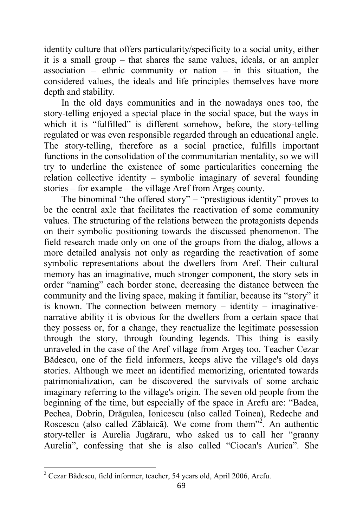identity culture that offers particularity/specificity to a social unity, either it is a small group – that shares the same values, ideals, or an ampler association – ethnic community or nation – in this situation, the considered values, the ideals and life principles themselves have more depth and stability.

In the old days communities and in the nowadays ones too, the story-telling enjoyed a special place in the social space, but the ways in which it is "fulfilled" is different somehow, before, the story-telling regulated or was even responsible regarded through an educational angle. The story-telling, therefore as a social practice, fulfills important functions in the consolidation of the communitarian mentality, so we will try to underline the existence of some particularities concerning the relation collective identity – symbolic imaginary of several founding stories – for example – the village Aref from Argeş county.

The binominal "the offered story" – "prestigious identity" proves to be the central axle that facilitates the reactivation of some community values. The structuring of the relations between the protagonists depends on their symbolic positioning towards the discussed phenomenon. The field research made only on one of the groups from the dialog, allows a more detailed analysis not only as regarding the reactivation of some symbolic representations about the dwellers from Aref. Their cultural memory has an imaginative, much stronger component, the story sets in order "naming" each border stone, decreasing the distance between the community and the living space, making it familiar, because its "story" it is known. The connection between memory – identity – imaginativenarrative ability it is obvious for the dwellers from a certain space that they possess or, for a change, they reactualize the legitimate possession through the story, through founding legends. This thing is easily unraveled in the case of the Aref village from Argeş too. Teacher Cezar Bădescu, one of the field informers, keeps alive the village's old days stories. Although we meet an identified memorizing, orientated towards patrimonialization, can be discovered the survivals of some archaic imaginary referring to the village's origin. The seven old people from the beginning of the time, but especially of the space in Arefu are: "Badea, Pechea, Dobrin, Drăgulea, Ionicescu (also called Toinea), Redeche and Roscescu (also called Zăblaică). We come from them<sup>32</sup>. An authentic story-teller is Aurelia Jugăraru, who asked us to call her "granny Aurelia", confessing that she is also called "Ciocan's Aurica". She

 2 Cezar Bădescu, field informer, teacher, 54 years old, April 2006, Arefu.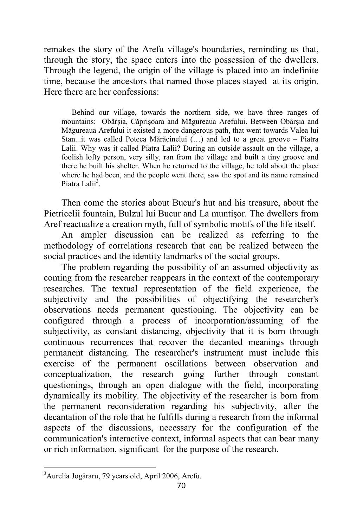remakes the story of the Arefu village's boundaries, reminding us that, through the story, the space enters into the possession of the dwellers. Through the legend, the origin of the village is placed into an indefinite time, because the ancestors that named those places stayed at its origin. Here there are her confessions:

Behind our village, towards the northern side, we have three ranges of mountains: Obârşia, Căprişoara and Măgureaua Arefului. Between Obârşia and Măgureaua Arefului it existed a more dangerous path, that went towards Valea lui Stan...it was called Poteca Mărăcinelui (…) and led to a great groove – Piatra Lalii. Why was it called Piatra Lalii? During an outside assault on the village, a foolish lofty person, very silly, ran from the village and built a tiny groove and there he built his shelter. When he returned to the village, he told about the place where he had been, and the people went there, saw the spot and its name remained Piatra Lalii<sup>3</sup>.

Then come the stories about Bucur's hut and his treasure, about the Pietricelii fountain, Bulzul lui Bucur and La muntişor. The dwellers from Aref reactualize a creation myth, full of symbolic motifs of the life itself.

An ampler discussion can be realized as referring to the methodology of correlations research that can be realized between the social practices and the identity landmarks of the social groups.

The problem regarding the possibility of an assumed objectivity as coming from the researcher reappears in the context of the contemporary researches. The textual representation of the field experience, the subjectivity and the possibilities of objectifying the researcher's observations needs permanent questioning. The objectivity can be configured through a process of incorporation/assuming of the subjectivity, as constant distancing, objectivity that it is born through continuous recurrences that recover the decanted meanings through permanent distancing. The researcher's instrument must include this exercise of the permanent oscillations between observation and conceptualization, the research going further through constant questionings, through an open dialogue with the field, incorporating dynamically its mobility. The objectivity of the researcher is born from the permanent reconsideration regarding his subjectivity, after the decantation of the role that he fulfills during a research from the informal aspects of the discussions, necessary for the configuration of the communication's interactive context, informal aspects that can bear many or rich information, significant for the purpose of the research.

l

<sup>&</sup>lt;sup>3</sup>Aurelia Jogăraru, 79 years old, April 2006, Arefu.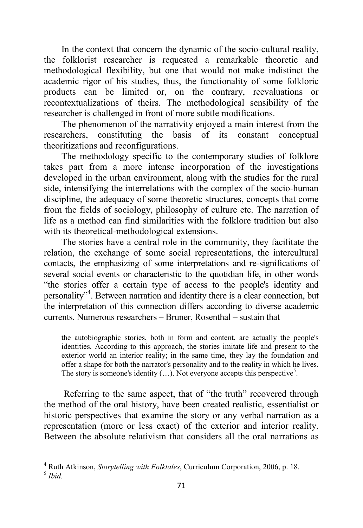In the context that concern the dynamic of the socio-cultural reality, the folklorist researcher is requested a remarkable theoretic and methodological flexibility, but one that would not make indistinct the academic rigor of his studies, thus, the functionality of some folkloric products can be limited or, on the contrary, reevaluations or recontextualizations of theirs. The methodological sensibility of the researcher is challenged in front of more subtle modifications.

The phenomenon of the narrativity enjoyed a main interest from the researchers, constituting the basis of its constant conceptual theoritizations and reconfigurations.

The methodology specific to the contemporary studies of folklore takes part from a more intense incorporation of the investigations developed in the urban environment, along with the studies for the rural side, intensifying the interrelations with the complex of the socio-human discipline, the adequacy of some theoretic structures, concepts that come from the fields of sociology, philosophy of culture etc. The narration of life as a method can find similarities with the folklore tradition but also with its theoretical-methodological extensions.

The stories have a central role in the community, they facilitate the relation, the exchange of some social representations, the intercultural contacts, the emphasizing of some interpretations and re-significations of several social events or characteristic to the quotidian life, in other words "the stories offer a certain type of access to the people's identity and personality"<sup>4</sup> . Between narration and identity there is a clear connection, but the interpretation of this connection differs according to diverse academic currents. Numerous researchers – Bruner, Rosenthal – sustain that

the autobiographic stories, both in form and content, are actually the people's identities. According to this approach, the stories imitate life and present to the exterior world an interior reality; in the same time, they lay the foundation and offer a shape for both the narrator's personality and to the reality in which he lives. The story is someone's identity  $(...)$ . Not everyone accepts this perspective<sup>5</sup>.

 Referring to the same aspect, that of "the truth" recovered through the method of the oral history, have been created realistic, essentialist or historic perspectives that examine the story or any verbal narration as a representation (more or less exact) of the exterior and interior reality. Between the absolute relativism that considers all the oral narrations as

 4 Ruth Atkinson, *Storytelling with Folktales*, Curriculum Corporation, 2006, p. 18. 5 *Ibid.*